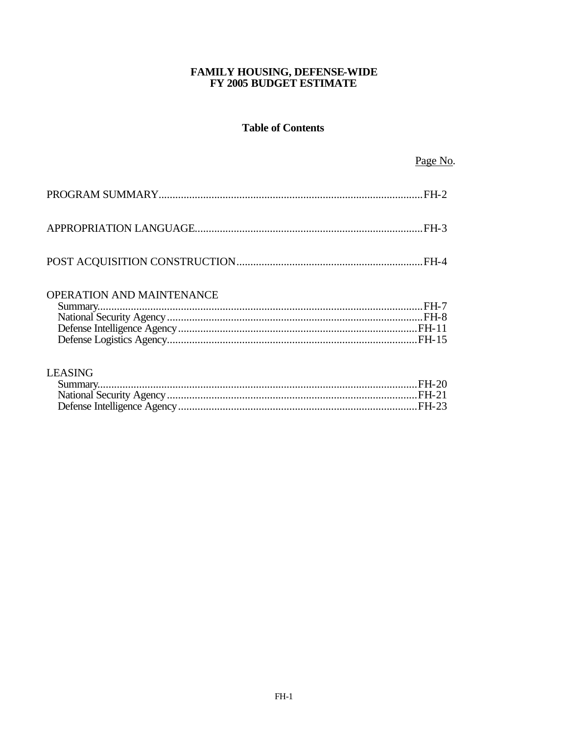## FAMILY HOUSING, DEFENSE-WIDE FY 2005 BUDGET ESTIMATE

# **Table of Contents**

Page No.

## OPERATION AND MAINTENANCE

## **LEASING**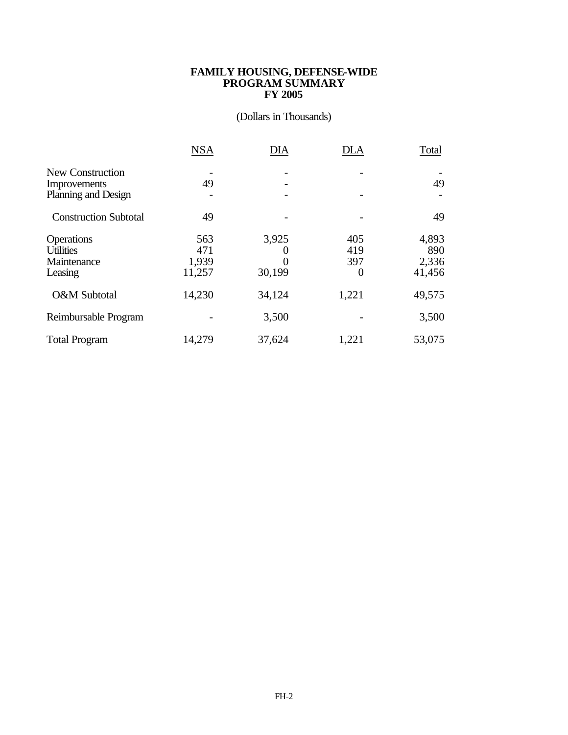### **FAMILY HOUSING, DEFENSE-WIDE PROGRAM SUMMARY FY 2005**

## (Dollars in Thousands)

|                                     | <b>NSA</b> | DIA      | <b>DLA</b> | Total  |
|-------------------------------------|------------|----------|------------|--------|
| New Construction                    |            |          |            |        |
| Improvements<br>Planning and Design | 49         |          | -          | 49     |
| <b>Construction Subtotal</b>        | 49         |          |            | 49     |
| Operations                          | 563        | 3,925    | 405        | 4,893  |
| <b>Utilities</b>                    | 471        | $\theta$ | 419        | 890    |
| Maintenance                         | 1,939      | $\theta$ | 397        | 2,336  |
| Leasing                             | 11,257     | 30,199   | 0          | 41,456 |
| O&M Subtotal                        | 14,230     | 34,124   | 1,221      | 49,575 |
| Reimbursable Program                |            | 3,500    |            | 3,500  |
| <b>Total Program</b>                | 14,279     | 37,624   | 1,221      | 53,075 |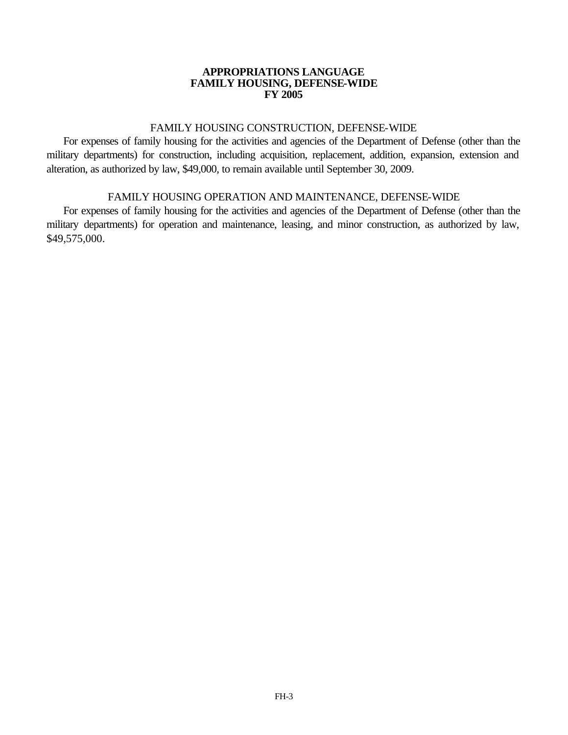### **APPROPRIATIONS LANGUAGE FAMILY HOUSING, DEFENSE-WIDE FY 2005**

## FAMILY HOUSING CONSTRUCTION, DEFENSE-WIDE

For expenses of family housing for the activities and agencies of the Department of Defense (other than the military departments) for construction, including acquisition, replacement, addition, expansion, extension and alteration, as authorized by law, \$49,000, to remain available until September 30, 2009.

## FAMILY HOUSING OPERATION AND MAINTENANCE, DEFENSE-WIDE

For expenses of family housing for the activities and agencies of the Department of Defense (other than the military departments) for operation and maintenance, leasing, and minor construction, as authorized by law, \$49,575,000.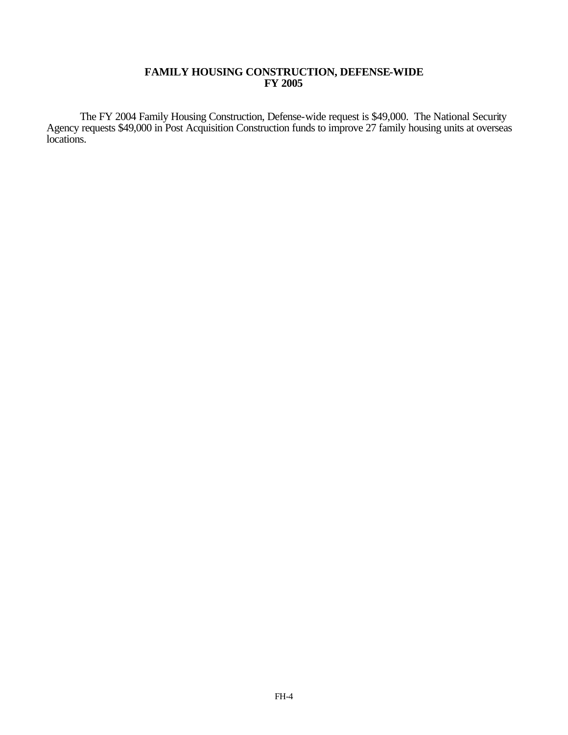### **FAMILY HOUSING CONSTRUCTION, DEFENSE-WIDE FY 2005**

The FY 2004 Family Housing Construction, Defense-wide request is \$49,000. The National Security Agency requests \$49,000 in Post Acquisition Construction funds to improve 27 family housing units at overseas locations.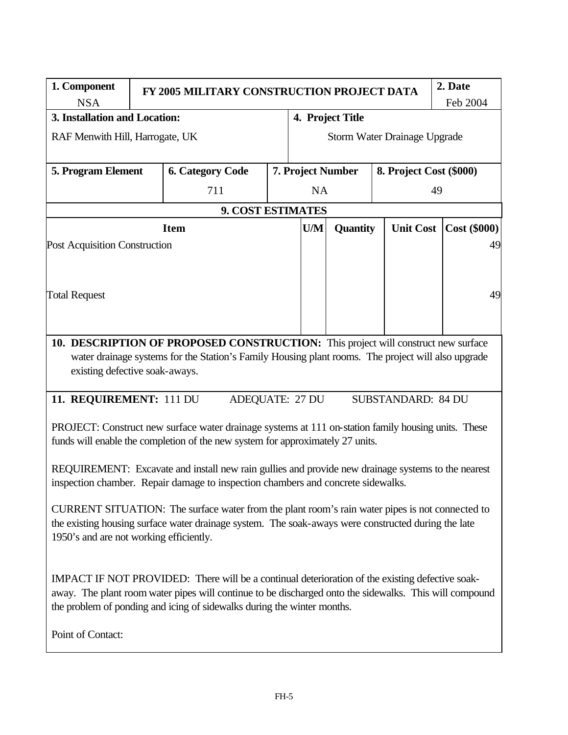| 1. Component<br>FY 2005 MILITARY CONSTRUCTION PROJECT DATA      |  |                                                                                                                                                                                       |  |                                              |                  |                           |    | 2. Date |  |
|-----------------------------------------------------------------|--|---------------------------------------------------------------------------------------------------------------------------------------------------------------------------------------|--|----------------------------------------------|------------------|---------------------------|----|---------|--|
| <b>NSA</b>                                                      |  |                                                                                                                                                                                       |  |                                              |                  | Feb 2004                  |    |         |  |
| 3. Installation and Location:                                   |  |                                                                                                                                                                                       |  |                                              | 4. Project Title |                           |    |         |  |
| RAF Menwith Hill, Harrogate, UK<br>Storm Water Drainage Upgrade |  |                                                                                                                                                                                       |  |                                              |                  |                           |    |         |  |
| 5. Program Element                                              |  | <b>6. Category Code</b>                                                                                                                                                               |  | 7. Project Number<br>8. Project Cost (\$000) |                  |                           |    |         |  |
|                                                                 |  | 711                                                                                                                                                                                   |  | <b>NA</b>                                    |                  |                           | 49 |         |  |
| <b>9. COST ESTIMATES</b>                                        |  |                                                                                                                                                                                       |  |                                              |                  |                           |    |         |  |
| U/M<br>Quantity<br><b>Unit Cost</b><br><b>Item</b>              |  |                                                                                                                                                                                       |  | <b>Cost (\$000)</b>                          |                  |                           |    |         |  |
| Post Acquisition Construction                                   |  |                                                                                                                                                                                       |  |                                              |                  |                           |    | 49      |  |
|                                                                 |  |                                                                                                                                                                                       |  |                                              |                  |                           |    |         |  |
|                                                                 |  |                                                                                                                                                                                       |  |                                              |                  |                           |    |         |  |
| <b>Total Request</b>                                            |  |                                                                                                                                                                                       |  |                                              |                  |                           |    | 49      |  |
|                                                                 |  |                                                                                                                                                                                       |  |                                              |                  |                           |    |         |  |
|                                                                 |  |                                                                                                                                                                                       |  |                                              |                  |                           |    |         |  |
|                                                                 |  | 10. DESCRIPTION OF PROPOSED CONSTRUCTION: This project will construct new surface                                                                                                     |  |                                              |                  |                           |    |         |  |
| existing defective soak-aways.                                  |  | water drainage systems for the Station's Family Housing plant rooms. The project will also upgrade                                                                                    |  |                                              |                  |                           |    |         |  |
|                                                                 |  |                                                                                                                                                                                       |  |                                              |                  |                           |    |         |  |
| 11. REQUIREMENT: 111 DU                                         |  | <b>ADEQUATE: 27 DU</b>                                                                                                                                                                |  |                                              |                  | <b>SUBSTANDARD: 84 DU</b> |    |         |  |
|                                                                 |  |                                                                                                                                                                                       |  |                                              |                  |                           |    |         |  |
|                                                                 |  | PROJECT: Construct new surface water drainage systems at 111 on-station family housing units. These<br>funds will enable the completion of the new system for approximately 27 units. |  |                                              |                  |                           |    |         |  |
|                                                                 |  |                                                                                                                                                                                       |  |                                              |                  |                           |    |         |  |
|                                                                 |  | REQUIREMENT: Excavate and install new rain gullies and provide new drainage systems to the nearest                                                                                    |  |                                              |                  |                           |    |         |  |
|                                                                 |  | inspection chamber. Repair damage to inspection chambers and concrete sidewalks.                                                                                                      |  |                                              |                  |                           |    |         |  |
|                                                                 |  | CURRENT SITUATION: The surface water from the plant room's rain water pipes is not connected to                                                                                       |  |                                              |                  |                           |    |         |  |
|                                                                 |  | the existing housing surface water drainage system. The soak-aways were constructed during the late                                                                                   |  |                                              |                  |                           |    |         |  |
| 1950's and are not working efficiently.                         |  |                                                                                                                                                                                       |  |                                              |                  |                           |    |         |  |
|                                                                 |  |                                                                                                                                                                                       |  |                                              |                  |                           |    |         |  |
|                                                                 |  | IMPACT IF NOT PROVIDED: There will be a continual deterioration of the existing defective soak-                                                                                       |  |                                              |                  |                           |    |         |  |
|                                                                 |  | away. The plant room water pipes will continue to be discharged onto the sidewalks. This will compound                                                                                |  |                                              |                  |                           |    |         |  |
|                                                                 |  | the problem of ponding and icing of sidewalks during the winter months.                                                                                                               |  |                                              |                  |                           |    |         |  |
| Point of Contact:                                               |  |                                                                                                                                                                                       |  |                                              |                  |                           |    |         |  |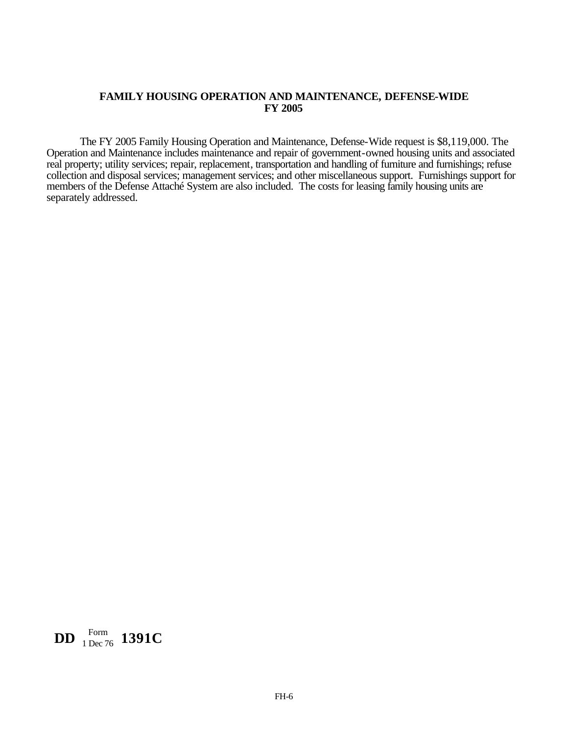### **FAMILY HOUSING OPERATION AND MAINTENANCE, DEFENSE-WIDE FY 2005**

The FY 2005 Family Housing Operation and Maintenance, Defense-Wide request is \$8,119,000. The Operation and Maintenance includes maintenance and repair of government-owned housing units and associated real property; utility services; repair, replacement, transportation and handling of furniture and furnishings; refuse collection and disposal services; management services; and other miscellaneous support. Furnishings support for members of the Defense Attaché System are also included. The costs for leasing family housing units are separately addressed.

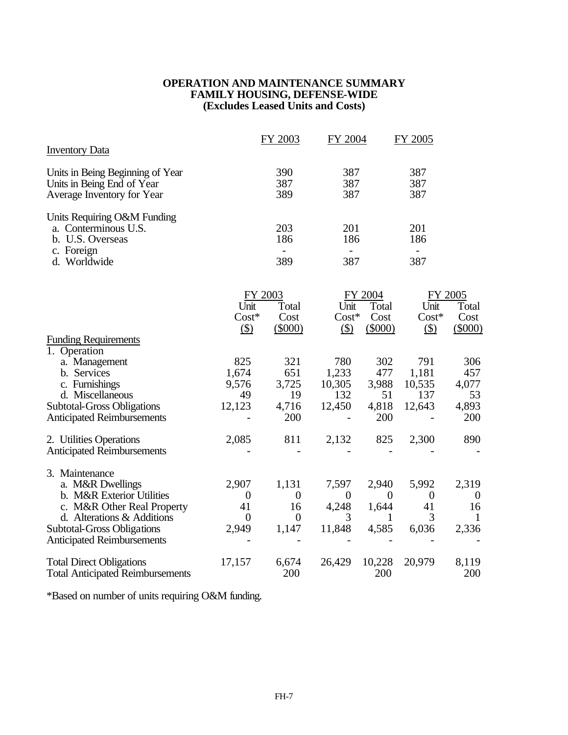## **OPERATION AND MAINTENANCE SUMMARY FAMILY HOUSING, DEFENSE-WIDE (Excludes Leased Units and Costs)**

| <b>Inventory Data</b>                                    |                  | FY 2003          | FY 2004        |              | FY 2005        |                |
|----------------------------------------------------------|------------------|------------------|----------------|--------------|----------------|----------------|
|                                                          |                  |                  |                |              |                |                |
| Units in Being Beginning of Year                         |                  | 390<br>387       | 387<br>387     |              | 387<br>387     |                |
| Units in Being End of Year<br>Average Inventory for Year |                  | 389              | 387            |              | 387            |                |
|                                                          |                  |                  |                |              |                |                |
| Units Requiring O&M Funding<br>a. Conterminous U.S.      |                  | 203              | 201            |              | 201            |                |
| b. U.S. Overseas                                         |                  | 186              | 186            |              | 186            |                |
| c. Foreign                                               |                  |                  |                |              | $\blacksquare$ |                |
| d. Worldwide                                             |                  | 389              | 387            |              | 387            |                |
|                                                          |                  |                  |                |              |                |                |
|                                                          | FY 2003          |                  |                | FY 2004      | FY 2005        |                |
|                                                          | Unit             | Total            | Unit           | Total        | Unit           | Total          |
|                                                          | $Cost*$          | Cost             | $Cost*$        | Cost         | $Cost*$        | Cost           |
| <b>Funding Requirements</b>                              | $($)$            | $(\$000)$        | $\circ$        | $(\$000)$    | $\circled{3}$  | $(\$000)$      |
| 1. Operation                                             |                  |                  |                |              |                |                |
| a. Management                                            | 825              | 321              | 780            | 302          | 791            | 306            |
| b. Services                                              | 1,674            | 651              | 1,233          | 477          | 1,181          | 457            |
| c. Furnishings                                           | 9,576            | 3,725            | 10,305         | 3,988        | 10,535         | 4,077          |
| d. Miscellaneous                                         | 49               | 19               | 132            | 51           | 137            | 53             |
| <b>Subtotal-Gross Obligations</b>                        | 12,123           | 4,716            | 12,450         | 4,818        | 12,643         | 4,893          |
| <b>Anticipated Reimbursements</b>                        |                  | 200              |                | 200          |                | 200            |
| 2. Utilities Operations                                  | 2,085            | 811              | 2,132          | 825          | 2,300          | 890            |
| <b>Anticipated Reimbursements</b>                        |                  |                  |                |              |                |                |
| 3. Maintenance                                           |                  |                  |                |              |                |                |
| a. M&R Dwellings                                         | 2,907            | 1,131            | 7,597          | 2,940        | 5,992          | 2,319          |
| b. M&R Exterior Utilities                                | $\boldsymbol{0}$ | $\boldsymbol{0}$ | $\overline{0}$ | $\mathbf{0}$ | $\overline{0}$ | $\overline{0}$ |
| c. M&R Other Real Property                               | 41               | 16               | 4,248          | 1,644        | 41             | 16             |
| d. Alterations & Additions                               | $\theta$         | $\overline{0}$   | 3              | 1            | 3              | 1              |
| <b>Subtotal-Gross Obligations</b>                        | 2,949            | 1,147            | 11,848         | 4,585        | 6,036          | 2,336          |
| <b>Anticipated Reimbursements</b>                        |                  |                  |                |              |                |                |
| <b>Total Direct Obligations</b>                          | 17,157           | 6,674            | 26,429         | 10,228       | 20,979         | 8,119          |
| <b>Total Anticipated Reimbursements</b>                  |                  | 200              |                | 200          |                | 200            |

\*Based on number of units requiring O&M funding.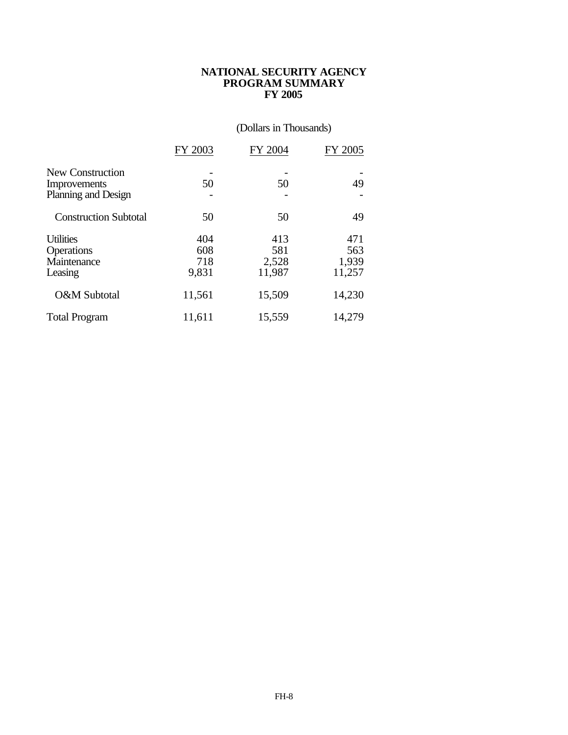### **NATIONAL SECURITY AGENCY PROGRAM SUMMARY FY 2005**

# (Dollars in Thousands)

|                                                          | FY 2003                    | FY 2004                       | FY 2005                       |
|----------------------------------------------------------|----------------------------|-------------------------------|-------------------------------|
| New Construction<br>Improvements<br>Planning and Design  | 50                         | 50                            | 49                            |
| <b>Construction Subtotal</b>                             | 50                         | 50                            | 49                            |
| <b>Utilities</b><br>Operations<br>Maintenance<br>Leasing | 404<br>608<br>718<br>9,831 | 413<br>581<br>2,528<br>11,987 | 471<br>563<br>1,939<br>11,257 |
| O&M Subtotal                                             | 11,561                     | 15,509                        | 14,230                        |
| <b>Total Program</b>                                     | 11,611                     | 15,559                        | 14,279                        |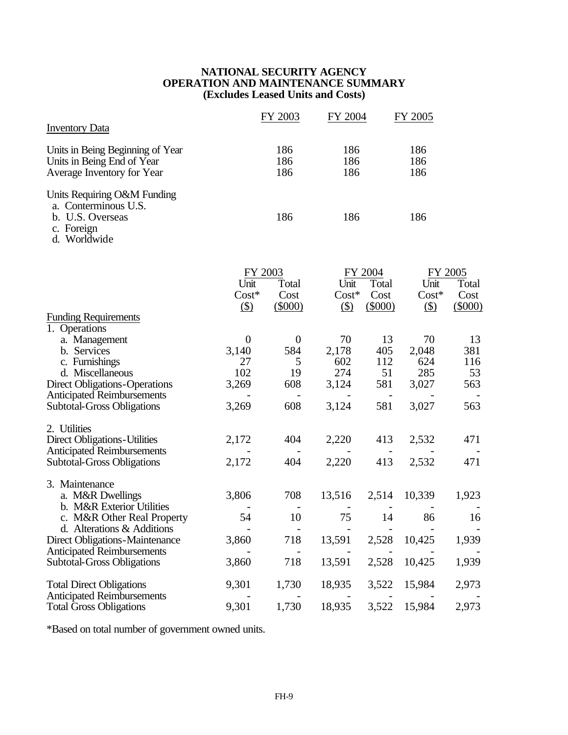## **NATIONAL SECURITY AGENCY OPERATION AND MAINTENANCE SUMMARY (Excludes Leased Units and Costs)**

| <b>Inventory Data</b>                                                                                                                                                                                                                          |                                                  | FY 2003                                  | FY 2004                                     |                                       | FY 2005                                     |                                       |
|------------------------------------------------------------------------------------------------------------------------------------------------------------------------------------------------------------------------------------------------|--------------------------------------------------|------------------------------------------|---------------------------------------------|---------------------------------------|---------------------------------------------|---------------------------------------|
| Units in Being Beginning of Year<br>Units in Being End of Year<br>Average Inventory for Year                                                                                                                                                   |                                                  | 186<br>186<br>186                        | 186<br>186<br>186                           |                                       | 186<br>186<br>186                           |                                       |
| Units Requiring O&M Funding<br>a. Conterminous U.S.<br>b. U.S. Overseas<br>c. Foreign<br>d. Worldwide                                                                                                                                          |                                                  | 186                                      | 186                                         |                                       | 186                                         |                                       |
|                                                                                                                                                                                                                                                | Unit<br>$Cost*$<br>$\circ$                       | FY 2003<br>Total<br>Cost<br>$(\$000)$    | Unit<br>$Cost*$<br>$($ \$)                  | FY 2004<br>Total<br>Cost<br>$(\$000)$ | Unit<br>$Cost*$<br>$\circ$                  | FY 2005<br>Total<br>Cost<br>$(\$000)$ |
| <b>Funding Requirements</b><br>1. Operations<br>a. Management<br>b. Services<br>c. Furnishings<br>d. Miscellaneous<br><b>Direct Obligations-Operations</b><br><b>Anticipated Reimbursements</b><br><b>Subtotal-Gross Obligations</b>           | $\theta$<br>3,140<br>27<br>102<br>3,269<br>3,269 | $\theta$<br>584<br>5<br>19<br>608<br>608 | 70<br>2,178<br>602<br>274<br>3,124<br>3,124 | 13<br>405<br>112<br>51<br>581<br>581  | 70<br>2,048<br>624<br>285<br>3,027<br>3,027 | 13<br>381<br>116<br>53<br>563<br>563  |
| 2. Utilities<br><b>Direct Obligations-Utilities</b><br><b>Anticipated Reimbursements</b><br><b>Subtotal-Gross Obligations</b>                                                                                                                  | 2,172<br>2,172                                   | 404<br>404                               | 2,220<br>2,220                              | 413<br>413                            | 2,532<br>2,532                              | 471<br>471                            |
| 3. Maintenance<br>a. M&R Dwellings<br>b. M&R Exterior Utilities<br>c. M&R Other Real Property<br>d. Alterations & Additions<br><b>Direct Obligations-Maintenance</b><br><b>Anticipated Reimbursements</b><br><b>Subtotal-Gross Obligations</b> | 3,806<br>54<br>3,860<br>3,860                    | 708<br>10<br>718<br>718                  | 13,516<br>75<br>13,591<br>13,591            | 2,514<br>14<br>2,528<br>2,528         | 10,339<br>86<br>10,425<br>10,425            | 1,923<br>16<br>1,939<br>1,939         |
| <b>Total Direct Obligations</b><br><b>Anticipated Reimbursements</b><br><b>Total Gross Obligations</b>                                                                                                                                         | 9,301<br>9,301                                   | 1,730<br>1,730                           | 18,935<br>18,935                            | 3,522<br>3,522                        | 15,984<br>15,984                            | 2,973<br>2,973                        |

\*Based on total number of government owned units.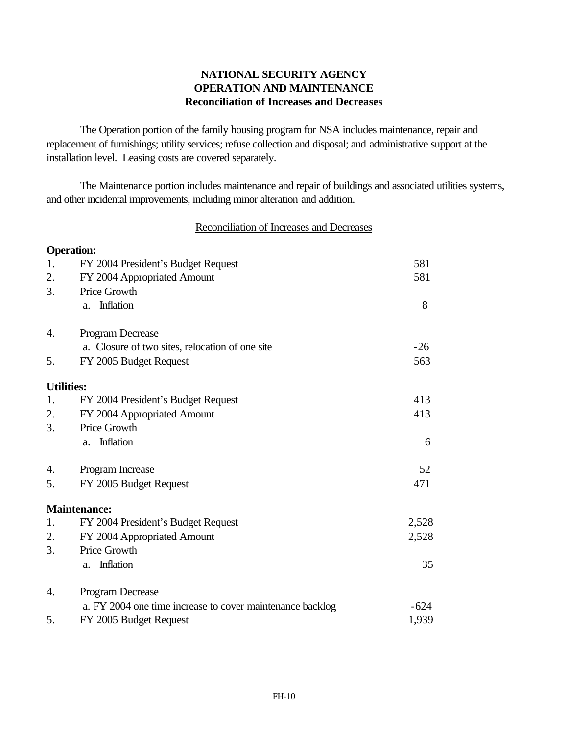# **NATIONAL SECURITY AGENCY OPERATION AND MAINTENANCE Reconciliation of Increases and Decreases**

The Operation portion of the family housing program for NSA includes maintenance, repair and replacement of furnishings; utility services; refuse collection and disposal; and administrative support at the installation level. Leasing costs are covered separately.

The Maintenance portion includes maintenance and repair of buildings and associated utilities systems, and other incidental improvements, including minor alteration and addition.

## Reconciliation of Increases and Decreases

| <b>Operation:</b> |                                                           |        |
|-------------------|-----------------------------------------------------------|--------|
| 1.                | FY 2004 President's Budget Request                        | 581    |
| 2.                | FY 2004 Appropriated Amount                               | 581    |
| 3.                | Price Growth                                              |        |
|                   | Inflation<br>a.                                           | 8      |
| 4.                | Program Decrease                                          |        |
|                   | a. Closure of two sites, relocation of one site           | $-26$  |
| 5.                | FY 2005 Budget Request                                    | 563    |
| <b>Utilities:</b> |                                                           |        |
| 1.                | FY 2004 President's Budget Request                        | 413    |
| 2.                | FY 2004 Appropriated Amount                               | 413    |
| 3.                | Price Growth                                              |        |
|                   | Inflation<br>a.                                           | 6      |
| 4.                | Program Increase                                          | 52     |
| 5.                | FY 2005 Budget Request                                    | 471    |
|                   | <b>Maintenance:</b>                                       |        |
| 1.                | FY 2004 President's Budget Request                        | 2,528  |
| 2.                | FY 2004 Appropriated Amount                               | 2,528  |
| 3.                | Price Growth                                              |        |
|                   | Inflation<br>a.                                           | 35     |
| 4.                | Program Decrease                                          |        |
|                   | a. FY 2004 one time increase to cover maintenance backlog | $-624$ |
| 5.                | FY 2005 Budget Request                                    | 1,939  |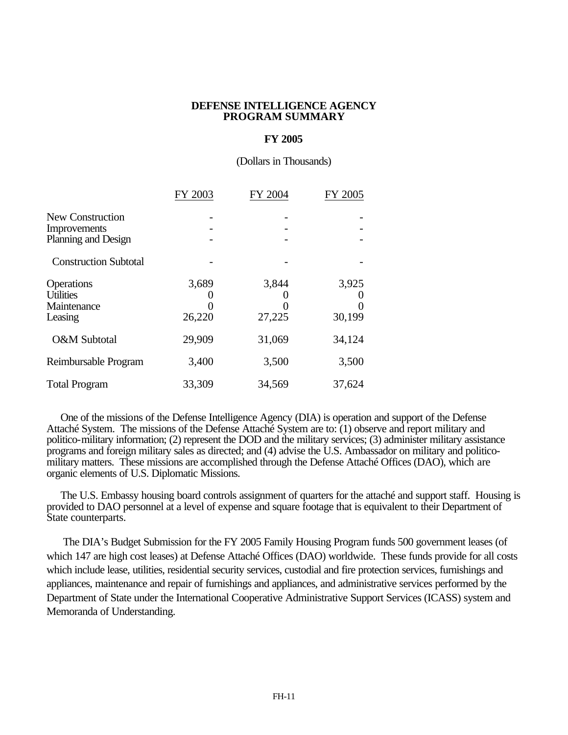#### **DEFENSE INTELLIGENCE AGENCY PROGRAM SUMMARY**

### **FY 2005**

(Dollars in Thousands)

|                              | FY 2003 | FY 2004 | FY 2005 |
|------------------------------|---------|---------|---------|
| New Construction             |         |         |         |
| Improvements                 |         |         |         |
| Planning and Design          |         |         |         |
| <b>Construction Subtotal</b> |         |         |         |
| Operations                   | 3,689   | 3,844   | 3,925   |
| <b>Utilities</b>             |         |         |         |
| Maintenance                  |         |         |         |
| Leasing                      | 26,220  | 27,225  | 30,199  |
| O&M Subtotal                 | 29,909  | 31,069  | 34,124  |
| Reimbursable Program         | 3,400   | 3,500   | 3,500   |
| <b>Total Program</b>         | 33,309  | 34,569  | 37,624  |

 One of the missions of the Defense Intelligence Agency (DIA) is operation and support of the Defense Attaché System. The missions of the Defense Attaché System are to: (1) observe and report military and politico-military information; (2) represent the DOD and the military services; (3) administer military assistance programs and foreign military sales as directed; and (4) advise the U.S. Ambassador on military and politicomilitary matters. These missions are accomplished through the Defense Attaché Offices (DAO), which are organic elements of U.S. Diplomatic Missions.

 The U.S. Embassy housing board controls assignment of quarters for the attaché and support staff. Housing is provided to DAO personnel at a level of expense and square footage that is equivalent to their Department of State counterparts.

 The DIA's Budget Submission for the FY 2005 Family Housing Program funds 500 government leases (of which 147 are high cost leases) at Defense Attaché Offices (DAO) worldwide. These funds provide for all costs which include lease, utilities, residential security services, custodial and fire protection services, furnishings and appliances, maintenance and repair of furnishings and appliances, and administrative services performed by the Department of State under the International Cooperative Administrative Support Services (ICASS) system and Memoranda of Understanding.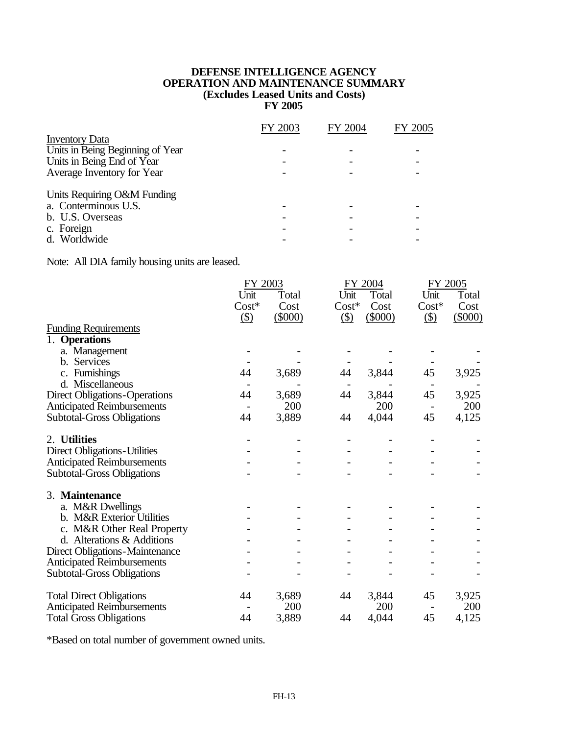### **DEFENSE INTELLIGENCE AGENCY OPERATION AND MAINTENANCE SUMMARY (Excludes Leased Units and Costs) FY 2005**

|                                  | FY 2003 | FY 2004 | FY 2005 |
|----------------------------------|---------|---------|---------|
| <b>Inventory Data</b>            |         |         |         |
| Units in Being Beginning of Year |         |         |         |
| Units in Being End of Year       |         |         |         |
| Average Inventory for Year       |         |         |         |
| Units Requiring O&M Funding      |         |         |         |
| a. Conterminous U.S.             |         |         |         |
| b. U.S. Overseas                 |         |         |         |
| c. Foreign                       |         |         |         |
| d. Worldwide                     |         |         |         |

Note: All DIA family housing units are leased.

|                                       |               | FY 2003   |               | FY 2004   | FY 2005       |           |
|---------------------------------------|---------------|-----------|---------------|-----------|---------------|-----------|
|                                       | Unit          | Total     | Unit          | Total     | Unit          | Total     |
|                                       | $Cost*$       | Cost      | $Cost*$       | Cost      | $Cost*$       | Cost      |
|                                       | $\circled{3}$ | $(\$000)$ | $\circled{3}$ | $(\$000)$ | $\circled{3}$ | $(\$000)$ |
| <b>Funding Requirements</b>           |               |           |               |           |               |           |
| 1. Operations                         |               |           |               |           |               |           |
| a. Management                         |               |           |               |           |               |           |
| b. Services                           |               |           |               |           |               |           |
| c. Furnishings                        | 44            | 3,689     | 44            | 3,844     | 45            | 3,925     |
| d. Miscellaneous                      |               |           |               |           |               |           |
| <b>Direct Obligations-Operations</b>  | 44            | 3,689     | 44            | 3,844     | 45            | 3,925     |
| <b>Anticipated Reimbursements</b>     |               | 200       |               | 200       |               | 200       |
| <b>Subtotal-Gross Obligations</b>     | 44            | 3,889     | 44            | 4,044     | 45            | 4,125     |
| 2. Utilities                          |               |           |               |           |               |           |
| <b>Direct Obligations-Utilities</b>   |               |           |               |           |               |           |
| <b>Anticipated Reimbursements</b>     |               |           |               |           |               |           |
| <b>Subtotal-Gross Obligations</b>     |               |           |               |           |               |           |
| 3. Maintenance                        |               |           |               |           |               |           |
| a. M&R Dwellings                      |               |           |               |           |               |           |
| b. M&R Exterior Utilities             |               |           |               |           |               |           |
| c. M&R Other Real Property            |               |           |               |           |               |           |
| d. Alterations & Additions            |               |           |               |           |               |           |
| <b>Direct Obligations-Maintenance</b> |               |           |               |           |               |           |
| <b>Anticipated Reimbursements</b>     |               |           |               |           |               |           |
| <b>Subtotal-Gross Obligations</b>     |               |           |               |           |               |           |
|                                       |               |           |               |           |               |           |
| <b>Total Direct Obligations</b>       | 44            | 3,689     | 44            | 3,844     | 45            | 3,925     |
| <b>Anticipated Reimbursements</b>     |               | 200       |               | 200       |               | 200       |
| <b>Total Gross Obligations</b>        | 44            | 3,889     | 44            | 4,044     | 45            | 4,125     |

\*Based on total number of government owned units.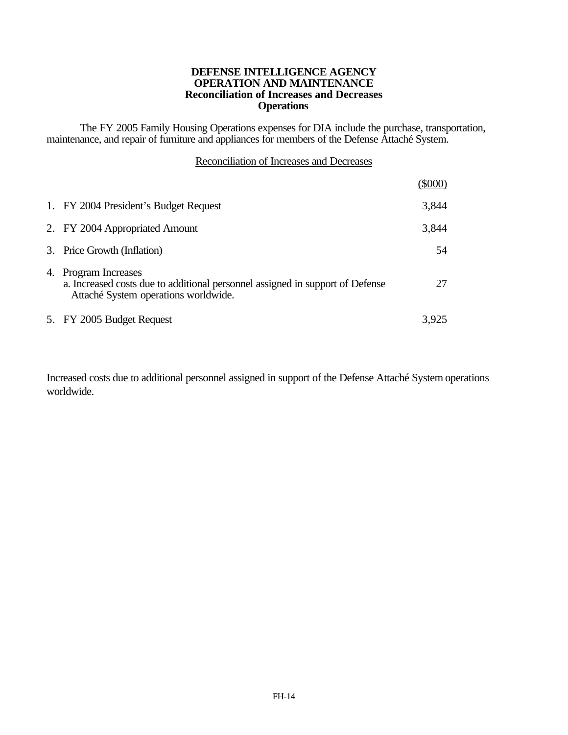#### **DEFENSE INTELLIGENCE AGENCY OPERATION AND MAINTENANCE Reconciliation of Increases and Decreases Operations**

The FY 2005 Family Housing Operations expenses for DIA include the purchase, transportation, maintenance, and repair of furniture and appliances for members of the Defense Attaché System.

|                                                                                                                                               | (\$000) |
|-----------------------------------------------------------------------------------------------------------------------------------------------|---------|
| 1. FY 2004 President's Budget Request                                                                                                         | 3,844   |
| 2. FY 2004 Appropriated Amount                                                                                                                | 3,844   |
| 3. Price Growth (Inflation)                                                                                                                   | 54      |
| 4. Program Increases<br>a. Increased costs due to additional personnel assigned in support of Defense<br>Attaché System operations worldwide. | 27      |
| 5. FY 2005 Budget Request                                                                                                                     | 3,925   |

Increased costs due to additional personnel assigned in support of the Defense Attaché System operations worldwide.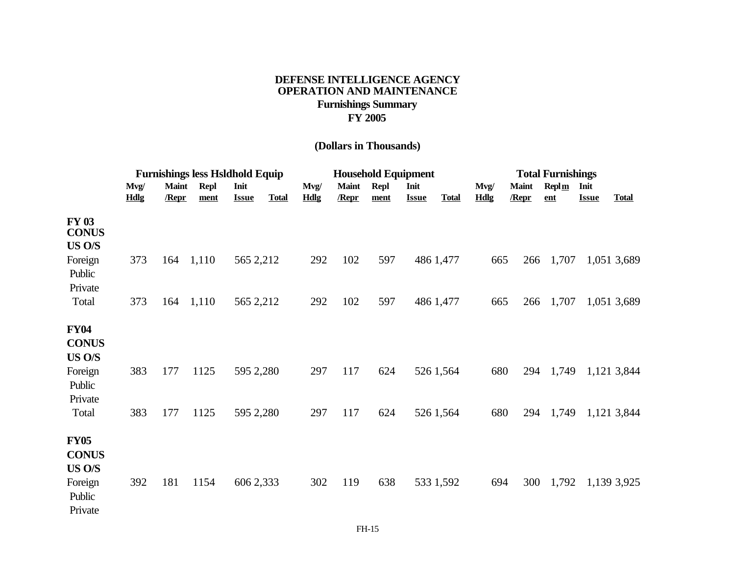## **DEFENSE INTELLIGENCE AGENCY OPERATION AND MAINTENANCE Furnishings Summary FY 2005**

# **(Dollars in Thousands)**

|                                        | <b>Furnishings less Hsldhold Equip</b> |                       |                     |                      |              | <b>Household Equipment</b> |                       |                     |                      |              | <b>Total Furnishings</b> |                       |                                     |                      |              |
|----------------------------------------|----------------------------------------|-----------------------|---------------------|----------------------|--------------|----------------------------|-----------------------|---------------------|----------------------|--------------|--------------------------|-----------------------|-------------------------------------|----------------------|--------------|
|                                        | Mvg/<br>Hdlg                           | <b>Maint</b><br>/Repr | <b>Repl</b><br>ment | Init<br><b>Issue</b> | <b>Total</b> | Mvg/<br><b>Hdlg</b>        | <b>Maint</b><br>/Repr | <b>Repl</b><br>ment | Init<br><b>Issue</b> | <b>Total</b> | Mvg/<br><b>Hdlg</b>      | <b>Maint</b><br>/Repr | $\text{Repl}\,\underline{m}$<br>ent | Init<br><b>Issue</b> | <b>Total</b> |
| <b>FY 03</b><br><b>CONUS</b><br>US O/S |                                        |                       |                     |                      |              |                            |                       |                     |                      |              |                          |                       |                                     |                      |              |
| Foreign<br>Public<br>Private           | 373                                    | 164                   | 1,110               | 565 2,212            |              | 292                        | 102                   | 597                 |                      | 486 1,477    | 665                      | 266                   | 1,707                               |                      | 1,051 3,689  |
| Total                                  | 373                                    | 164                   | 1,110               | 565 2,212            |              | 292                        | 102                   | 597                 |                      | 486 1,477    | 665                      | 266                   | 1,707                               |                      | 1,051 3,689  |
| <b>FY04</b><br><b>CONUS</b><br>US O/S  |                                        |                       |                     |                      |              |                            |                       |                     |                      |              |                          |                       |                                     |                      |              |
| Foreign<br>Public<br>Private           | 383                                    | 177                   | 1125                | 595 2,280            |              | 297                        | 117                   | 624                 |                      | 526 1,564    | 680                      | 294                   | 1,749                               |                      | 1,121 3,844  |
| Total                                  | 383                                    | 177                   | 1125                | 595 2,280            |              | 297                        | 117                   | 624                 |                      | 526 1,564    | 680                      | 294                   | 1,749                               |                      | 1,121 3,844  |
| <b>FY05</b><br><b>CONUS</b><br>US O/S  |                                        |                       |                     |                      |              |                            |                       |                     |                      |              |                          |                       |                                     |                      |              |
| Foreign<br>Public<br>Private           | 392                                    | 181                   | 1154                | 606 2,333            |              | 302                        | 119                   | 638                 |                      | 533 1,592    | 694                      | 300                   | 1,792                               |                      | 1,139 3,925  |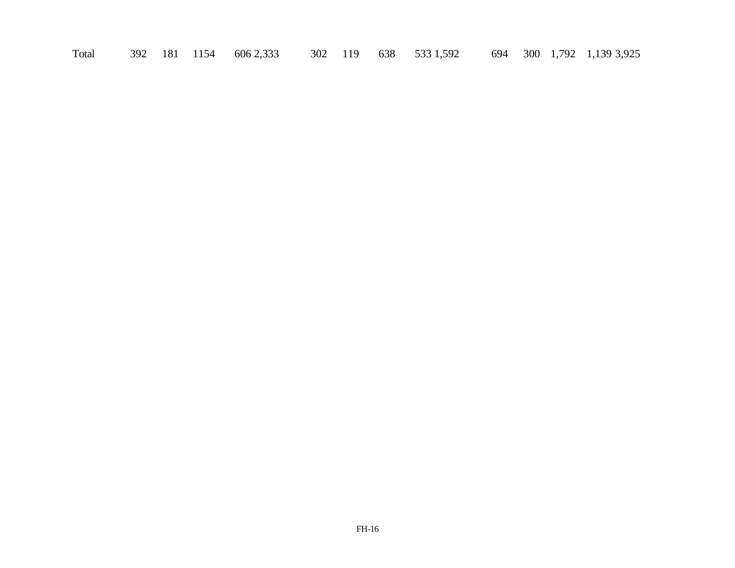Total 392 181 1154 606 2,333 302 119 638 533 1,592 694 300 1,792 1,139 3,925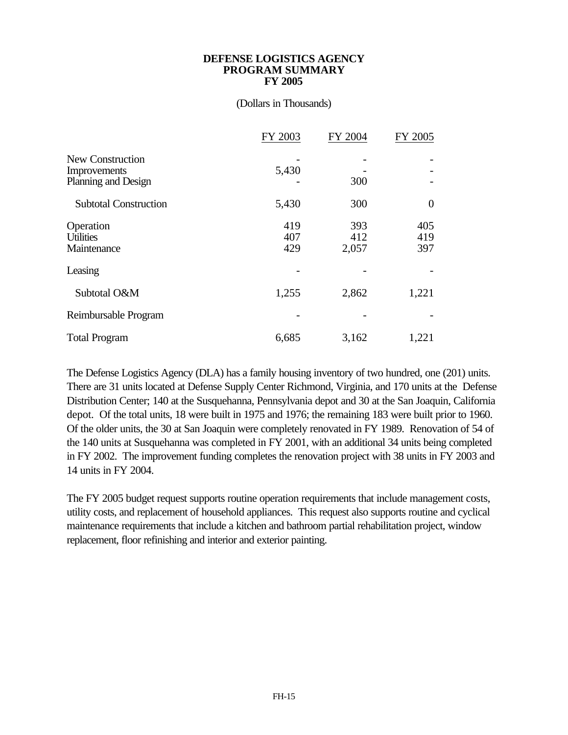#### **DEFENSE LOGISTICS AGENCY PROGRAM SUMMARY FY 2005**

### (Dollars in Thousands)

|                                                         | FY 2003           | FY 2004             | FY 2005           |
|---------------------------------------------------------|-------------------|---------------------|-------------------|
| New Construction<br>Improvements<br>Planning and Design | 5,430             | 300                 |                   |
| <b>Subtotal Construction</b>                            | 5,430             | 300                 | $\theta$          |
| Operation<br><b>Utilities</b><br>Maintenance            | 419<br>407<br>429 | 393<br>412<br>2,057 | 405<br>419<br>397 |
| Leasing                                                 |                   |                     |                   |
| Subtotal O&M                                            | 1,255             | 2,862               | 1,221             |
| Reimbursable Program                                    |                   |                     |                   |
| <b>Total Program</b>                                    | 6,685             | 3,162               | 1,221             |

The Defense Logistics Agency (DLA) has a family housing inventory of two hundred, one (201) units. There are 31 units located at Defense Supply Center Richmond, Virginia, and 170 units at the Defense Distribution Center; 140 at the Susquehanna, Pennsylvania depot and 30 at the San Joaquin, California depot. Of the total units, 18 were built in 1975 and 1976; the remaining 183 were built prior to 1960. Of the older units, the 30 at San Joaquin were completely renovated in FY 1989. Renovation of 54 of the 140 units at Susquehanna was completed in FY 2001, with an additional 34 units being completed in FY 2002. The improvement funding completes the renovation project with 38 units in FY 2003 and 14 units in FY 2004.

The FY 2005 budget request supports routine operation requirements that include management costs, utility costs, and replacement of household appliances. This request also supports routine and cyclical maintenance requirements that include a kitchen and bathroom partial rehabilitation project, window replacement, floor refinishing and interior and exterior painting.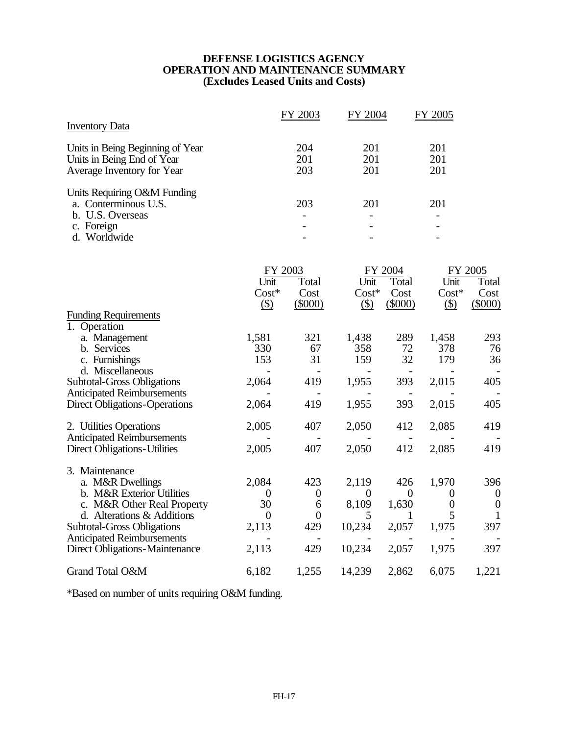## **DEFENSE LOGISTICS AGENCY OPERATION AND MAINTENANCE SUMMARY (Excludes Leased Units and Costs)**

|                                                                                                                                                                                                                                                |                                                                     | FY 2003                                                        | FY 2004                                             |                                                       | FY 2005                                                            |                                                              |  |
|------------------------------------------------------------------------------------------------------------------------------------------------------------------------------------------------------------------------------------------------|---------------------------------------------------------------------|----------------------------------------------------------------|-----------------------------------------------------|-------------------------------------------------------|--------------------------------------------------------------------|--------------------------------------------------------------|--|
| <b>Inventory Data</b>                                                                                                                                                                                                                          |                                                                     |                                                                |                                                     |                                                       |                                                                    |                                                              |  |
| Units in Being Beginning of Year<br>Units in Being End of Year<br>Average Inventory for Year                                                                                                                                                   |                                                                     | 204<br>201<br>203                                              | 201<br>201<br>201                                   |                                                       | 201<br>201<br>201                                                  |                                                              |  |
| Units Requiring O&M Funding<br>a. Conterminous U.S.<br>b. U.S. Overseas<br>c. Foreign<br>d. Worldwide                                                                                                                                          |                                                                     | 203                                                            | 201                                                 |                                                       | 201                                                                |                                                              |  |
|                                                                                                                                                                                                                                                | FY 2003<br>Unit<br>$Cost*$<br>$($ \$)                               | Total<br>Cost<br>$(\$000)$                                     | Unit<br>$Cost*$<br>$\circ$                          | FY 2004<br>Total<br>Cost<br>$(\$000)$                 | Unit<br>$Cost*$<br>$\circ$                                         | FY 2005<br>Total<br>Cost<br>$(\$000)$                        |  |
| <b>Funding Requirements</b><br>1. Operation<br>a. Management<br>b. Services<br>c. Furnishings                                                                                                                                                  | 1,581<br>330<br>153                                                 | 321<br>67<br>31                                                | 1,438<br>358<br>159                                 | 289<br>72<br>32                                       | 1,458<br>378<br>179                                                | 293<br>76<br>36                                              |  |
| d. Miscellaneous<br><b>Subtotal-Gross Obligations</b><br><b>Anticipated Reimbursements</b><br><b>Direct Obligations-Operations</b>                                                                                                             | 2,064<br>2,064                                                      | $\overline{\phantom{a}}$<br>419<br>419                         | 1,955<br>1,955                                      | $\overline{\phantom{a}}$<br>393<br>393                | 2,015<br>2,015                                                     | $\overline{\phantom{a}}$<br>405<br>405                       |  |
| 2. Utilities Operations<br><b>Anticipated Reimbursements</b><br><b>Direct Obligations-Utilities</b>                                                                                                                                            | 2,005<br>2,005                                                      | 407<br>407                                                     | 2,050<br>2,050                                      | 412<br>412                                            | 2,085<br>2,085                                                     | 419<br>419                                                   |  |
| 3. Maintenance<br>a. M&R Dwellings<br>b. M&R Exterior Utilities<br>c. M&R Other Real Property<br>d. Alterations & Additions<br><b>Subtotal-Gross Obligations</b><br><b>Anticipated Reimbursements</b><br><b>Direct Obligations-Maintenance</b> | 2,084<br>$\boldsymbol{0}$<br>30<br>$\overline{0}$<br>2,113<br>2,113 | 423<br>$\boldsymbol{0}$<br>6<br>$\boldsymbol{0}$<br>429<br>429 | 2,119<br>$\theta$<br>8,109<br>5<br>10,234<br>10,234 | 426<br>$\overline{0}$<br>1,630<br>1<br>2,057<br>2,057 | 1,970<br>$\overline{0}$<br>$\boldsymbol{0}$<br>5<br>1,975<br>1,975 | 396<br>$\overline{0}$<br>$\boldsymbol{0}$<br>1<br>397<br>397 |  |
| Grand Total O&M                                                                                                                                                                                                                                | 6,182                                                               | 1,255                                                          | 14,239                                              | 2,862                                                 | 6,075                                                              | 1,221                                                        |  |

\*Based on number of units requiring O&M funding.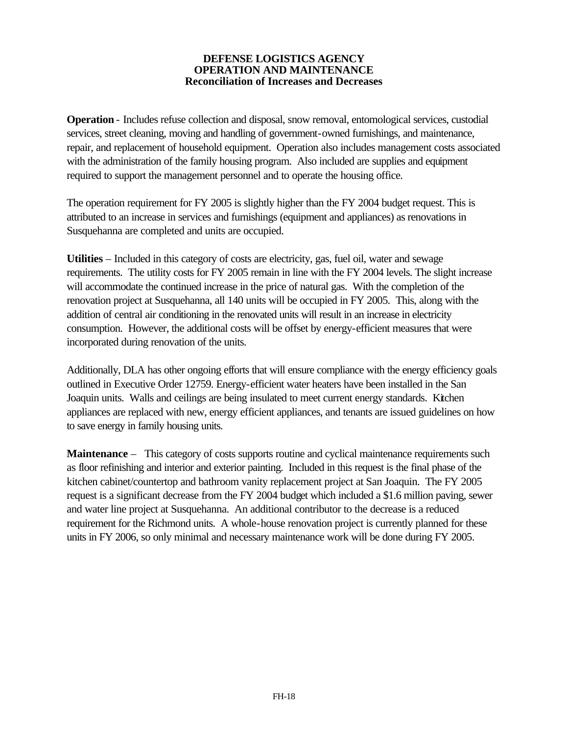### **DEFENSE LOGISTICS AGENCY OPERATION AND MAINTENANCE Reconciliation of Increases and Decreases**

**Operation** - Includes refuse collection and disposal, snow removal, entomological services, custodial services, street cleaning, moving and handling of government-owned furnishings, and maintenance, repair, and replacement of household equipment. Operation also includes management costs associated with the administration of the family housing program. Also included are supplies and equipment required to support the management personnel and to operate the housing office.

The operation requirement for FY 2005 is slightly higher than the FY 2004 budget request. This is attributed to an increase in services and furnishings (equipment and appliances) as renovations in Susquehanna are completed and units are occupied.

**Utilities** – Included in this category of costs are electricity, gas, fuel oil, water and sewage requirements. The utility costs for FY 2005 remain in line with the FY 2004 levels. The slight increase will accommodate the continued increase in the price of natural gas. With the completion of the renovation project at Susquehanna, all 140 units will be occupied in FY 2005. This, along with the addition of central air conditioning in the renovated units will result in an increase in electricity consumption. However, the additional costs will be offset by energy-efficient measures that were incorporated during renovation of the units.

Additionally, DLA has other ongoing efforts that will ensure compliance with the energy efficiency goals outlined in Executive Order 12759. Energy-efficient water heaters have been installed in the San Joaquin units. Walls and ceilings are being insulated to meet current energy standards. Kitchen appliances are replaced with new, energy efficient appliances, and tenants are issued guidelines on how to save energy in family housing units.

**Maintenance** – This category of costs supports routine and cyclical maintenance requirements such as floor refinishing and interior and exterior painting. Included in this request is the final phase of the kitchen cabinet/countertop and bathroom vanity replacement project at San Joaquin. The FY 2005 request is a significant decrease from the FY 2004 budget which included a \$1.6 million paving, sewer and water line project at Susquehanna. An additional contributor to the decrease is a reduced requirement for the Richmond units. A whole-house renovation project is currently planned for these units in FY 2006, so only minimal and necessary maintenance work will be done during FY 2005.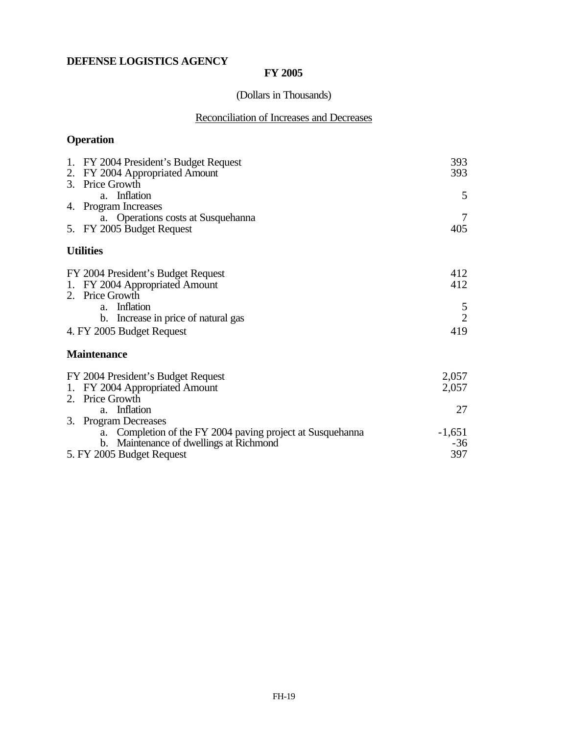# **DEFENSE LOGISTICS AGENCY**

## **FY 2005**

# (Dollars in Thousands)

# Reconciliation of Increases and Decreases

# **Operation**

| 1. FY 2004 President's Budget Request<br>2. FY 2004 Appropriated Amount<br>3. Price Growth | 393<br>393     |
|--------------------------------------------------------------------------------------------|----------------|
| a. Inflation                                                                               | 5              |
| 4. Program Increases                                                                       |                |
| a. Operations costs at Susquehanna<br>5. FY 2005 Budget Request                            | 405            |
| <b>Utilities</b>                                                                           |                |
| FY 2004 President's Budget Request<br>1. FY 2004 Appropriated Amount                       | 412<br>412     |
| 2. Price Growth<br>a. Inflation                                                            | 5              |
| b. Increase in price of natural gas                                                        | $\overline{2}$ |
| 4. FY 2005 Budget Request                                                                  | 419            |
| <b>Maintenance</b>                                                                         |                |
| FY 2004 President's Budget Request                                                         | 2,057          |
| 1. FY 2004 Appropriated Amount                                                             | 2,057          |
| 2. Price Growth                                                                            |                |
| a. Inflation<br>3. Program Decreases                                                       | 27             |
| a. Completion of the FY 2004 paving project at Susquehanna                                 | $-1,651$       |
| b. Maintenance of dwellings at Richmond                                                    | $-36$          |
| 5. FY 2005 Budget Request                                                                  | 397            |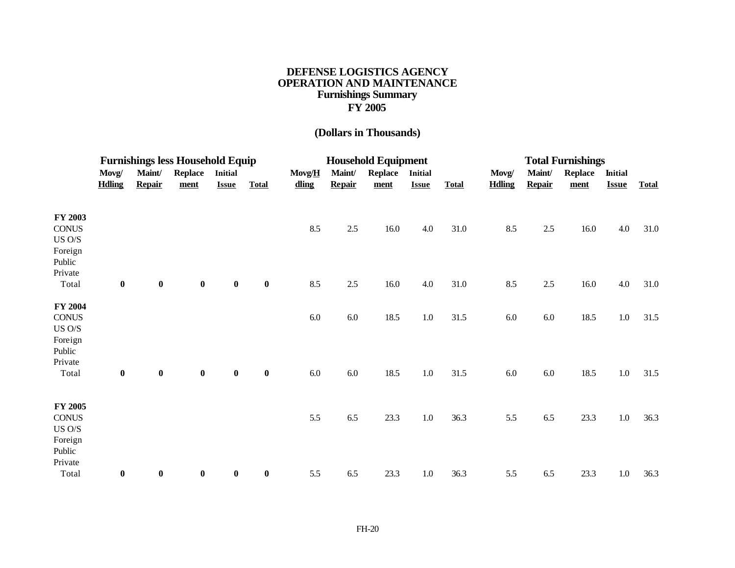## **DEFENSE LOGISTICS AGENCY OPERATION AND MAINTENANCE Furnishings Summary FY 2005**

# **(Dollars in Thousands)**

|                                                                            | <b>Furnishings less Household Equip</b> |                         |                        |                                |              | <b>Household Equipment</b> |                         |                        |                                |              | <b>Total Furnishings</b> |                         |                        |                                |              |
|----------------------------------------------------------------------------|-----------------------------------------|-------------------------|------------------------|--------------------------------|--------------|----------------------------|-------------------------|------------------------|--------------------------------|--------------|--------------------------|-------------------------|------------------------|--------------------------------|--------------|
|                                                                            | Movg/<br><b>Hdling</b>                  | Maint/<br><b>Repair</b> | <b>Replace</b><br>ment | <b>Initial</b><br><b>Issue</b> | <b>Total</b> | Movg/H<br>dling            | Maint/<br><b>Repair</b> | <b>Replace</b><br>ment | <b>Initial</b><br><b>Issue</b> | <b>Total</b> | Movg/<br><b>Hdling</b>   | Maint/<br><b>Repair</b> | <b>Replace</b><br>ment | <b>Initial</b><br><b>Issue</b> | <b>Total</b> |
| FY 2003<br><b>CONUS</b><br>$US$ $O/S$<br>Foreign<br>Public<br>Private      |                                         |                         |                        |                                |              | 8.5                        | 2.5                     | 16.0                   | 4.0                            | 31.0         | 8.5                      | 2.5                     | 16.0                   | 4.0                            | 31.0         |
| Total                                                                      | $\pmb{0}$                               | $\bf{0}$                | $\pmb{0}$              | $\bf{0}$                       | $\bf{0}$     | 8.5                        | $2.5\,$                 | 16.0                   | 4.0                            | 31.0         | 8.5                      | $2.5\,$                 | 16.0                   | 4.0                            | 31.0         |
| FY 2004<br><b>CONUS</b><br>US O/S<br>Foreign<br>Public<br>Private<br>Total | $\bf{0}$                                | $\bf{0}$                | $\pmb{0}$              | $\bf{0}$                       | $\bf{0}$     | 6.0<br>$6.0\,$             | $6.0\,$<br>6.0          | 18.5<br>18.5           | $1.0\,$<br>$1.0\,$             | 31.5<br>31.5 | 6.0<br>6.0               | 6.0<br>$6.0\,$          | 18.5<br>18.5           | $1.0\,$<br>$1.0\,$             | 31.5<br>31.5 |
| <b>FY 2005</b><br><b>CONUS</b><br>$US$ $O/S$<br>Foreign                    |                                         |                         |                        |                                |              | 5.5                        | 6.5                     | 23.3                   | $1.0\,$                        | 36.3         | 5.5                      | 6.5                     | 23.3                   | $1.0\,$                        | 36.3         |
| Public<br>Private<br>Total                                                 | $\boldsymbol{0}$                        | $\bf{0}$                | $\boldsymbol{0}$       | $\boldsymbol{0}$               | $\bf{0}$     | 5.5                        | 6.5                     | 23.3                   | 1.0                            | 36.3         | 5.5                      | 6.5                     | 23.3                   | $1.0\,$                        | 36.3         |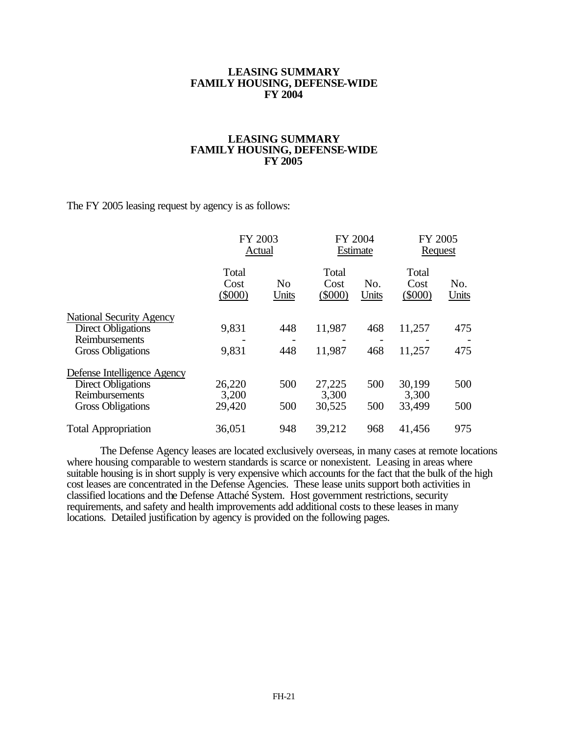#### **LEASING SUMMARY FAMILY HOUSING, DEFENSE-WIDE FY 2004**

### **LEASING SUMMARY FAMILY HOUSING, DEFENSE-WIDE FY 2005**

The FY 2005 leasing request by agency is as follows:

|                                 |                          | FY 2003<br>Actual       |                            | FY 2004<br>Estimate | FY 2005<br>Request       |              |
|---------------------------------|--------------------------|-------------------------|----------------------------|---------------------|--------------------------|--------------|
|                                 | Total<br>Cost<br>(\$000) | N <sub>0</sub><br>Units | Total<br>Cost<br>$(\$000)$ | No.<br>Units        | Total<br>Cost<br>(\$000) | No.<br>Units |
| <b>National Security Agency</b> |                          |                         |                            |                     |                          |              |
| Direct Obligations              | 9,831                    | 448                     | 11,987                     | 468                 | 11,257                   | 475          |
| Reimbursements                  |                          |                         |                            |                     |                          |              |
| <b>Gross Obligations</b>        | 9,831                    | 448                     | 11,987                     | 468                 | 11,257                   | 475          |
| Defense Intelligence Agency     |                          |                         |                            |                     |                          |              |
| Direct Obligations              | 26,220                   | 500                     | 27,225                     | 500                 | 30,199                   | 500          |
| Reimbursements                  | 3,200                    |                         | 3,300                      |                     | 3,300                    |              |
| <b>Gross Obligations</b>        | 29,420                   | 500                     | 30,525                     | 500                 | 33,499                   | 500          |
| <b>Total Appropriation</b>      | 36,051                   | 948                     | 39,212                     | 968                 | 41,456                   | 975          |

The Defense Agency leases are located exclusively overseas, in many cases at remote locations where housing comparable to western standards is scarce or nonexistent. Leasing in areas where suitable housing is in short supply is very expensive which accounts for the fact that the bulk of the high cost leases are concentrated in the Defense Agencies. These lease units support both activities in classified locations and the Defense Attaché System. Host government restrictions, security requirements, and safety and health improvements add additional costs to these leases in many locations. Detailed justification by agency is provided on the following pages.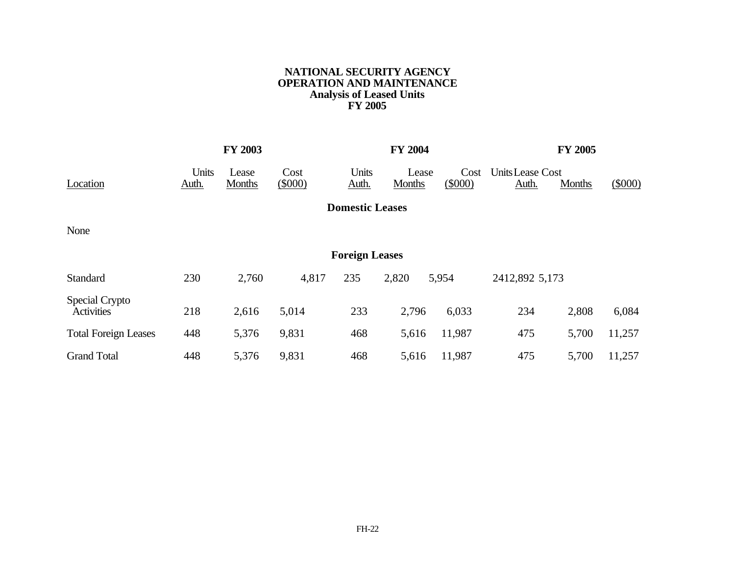## **NATIONAL SECURITY AGENCY OPERATION AND MAINTENANCE Analysis of Leased Units FY 2005**

|                                     |                | <b>FY 2003</b>  |                |                        | <b>FY 2004</b>  |                |                           | FY 2005 |         |
|-------------------------------------|----------------|-----------------|----------------|------------------------|-----------------|----------------|---------------------------|---------|---------|
| Location                            | Units<br>Auth. | Lease<br>Months | Cost<br>(5000) | Units<br>Auth.         | Lease<br>Months | Cost<br>(5000) | Units Lease Cost<br>Auth. | Months  | (\$000) |
|                                     |                |                 |                | <b>Domestic Leases</b> |                 |                |                           |         |         |
| None                                |                |                 |                |                        |                 |                |                           |         |         |
|                                     |                |                 |                | <b>Foreign Leases</b>  |                 |                |                           |         |         |
| Standard                            | 230            | 2,760           | 4,817          | 235                    | 2,820           | 5,954          | 2412,892 5,173            |         |         |
| Special Crypto<br><b>Activities</b> | 218            | 2,616           | 5,014          | 233                    | 2,796           | 6,033          | 234                       | 2,808   | 6,084   |
| <b>Total Foreign Leases</b>         | 448            | 5,376           | 9,831          | 468                    | 5,616           | 11,987         | 475                       | 5,700   | 11,257  |
| <b>Grand Total</b>                  | 448            | 5,376           | 9,831          | 468                    | 5,616           | 11,987         | 475                       | 5,700   | 11,257  |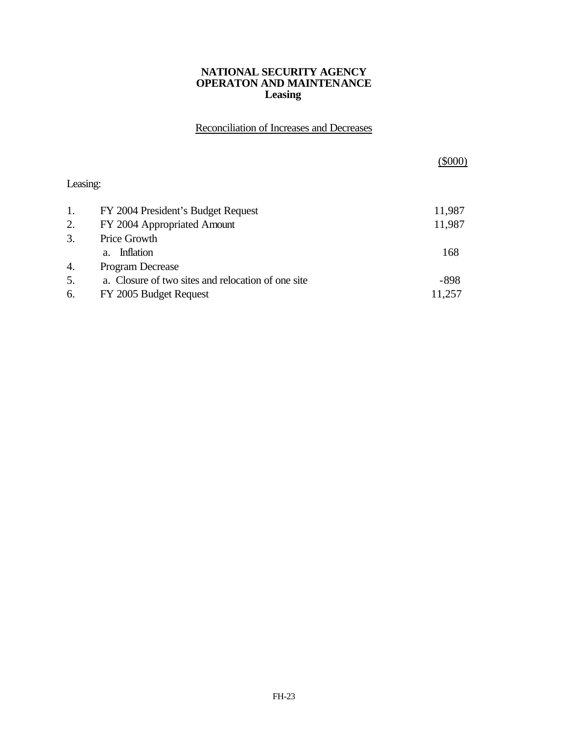### **NATIONAL SECURITY AGENCY OPERATON AND MAINTENANCE Leasing**

Reconciliation of Increases and Decreases

|          |                                                    | $(\$000)$ |
|----------|----------------------------------------------------|-----------|
| Leasing: |                                                    |           |
| 1.       | FY 2004 President's Budget Request                 | 11,987    |
| 2.       | FY 2004 Appropriated Amount                        | 11,987    |
| 3.       | Price Growth                                       |           |
|          | Inflation<br>$a_{-}$                               | 168       |
| 4.       | Program Decrease                                   |           |
| 5.       | a. Closure of two sites and relocation of one site | $-898$    |
| 6.       | FY 2005 Budget Request                             | 11,257    |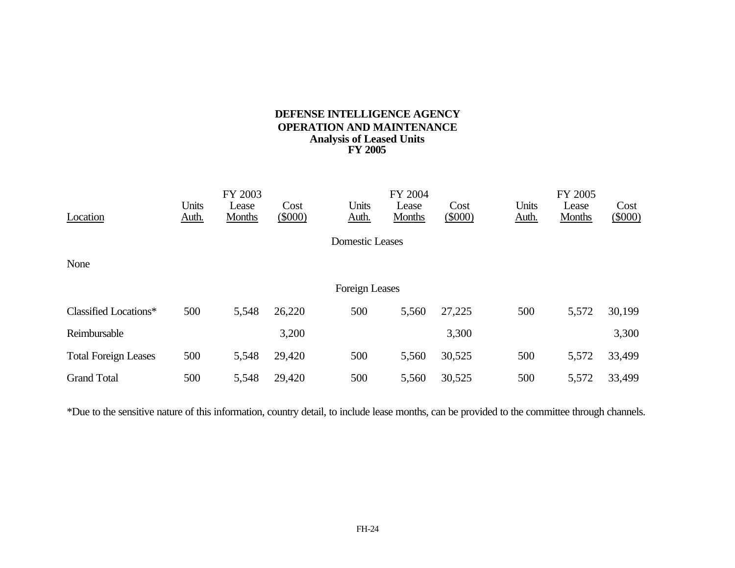## **DEFENSE INTELLIGENCE AGENCY OPERATION AND MAINTENANCE Analysis of Leased Units FY 2005**

|                             |                | FY 2003         |                   |                        | FY 2004                |                |                | FY 2005                |                |
|-----------------------------|----------------|-----------------|-------------------|------------------------|------------------------|----------------|----------------|------------------------|----------------|
| Location                    | Units<br>Auth. | Lease<br>Months | Cost<br>$(\$000)$ | Units<br>Auth.         | Lease<br><b>Months</b> | Cost<br>(5000) | Units<br>Auth. | Lease<br><b>Months</b> | Cost<br>(5000) |
|                             |                |                 |                   | <b>Domestic Leases</b> |                        |                |                |                        |                |
| None                        |                |                 |                   |                        |                        |                |                |                        |                |
|                             |                |                 |                   | Foreign Leases         |                        |                |                |                        |                |
| Classified Locations*       | 500            | 5,548           | 26,220            | 500                    | 5,560                  | 27,225         | 500            | 5,572                  | 30,199         |
| Reimbursable                |                |                 | 3,200             |                        |                        | 3,300          |                |                        | 3,300          |
| <b>Total Foreign Leases</b> | 500            | 5,548           | 29,420            | 500                    | 5,560                  | 30,525         | 500            | 5,572                  | 33,499         |
| <b>Grand Total</b>          | 500            | 5,548           | 29,420            | 500                    | 5,560                  | 30,525         | 500            | 5,572                  | 33,499         |

\*Due to the sensitive nature of this information, country detail, to include lease months, can be provided to the committee through channels.